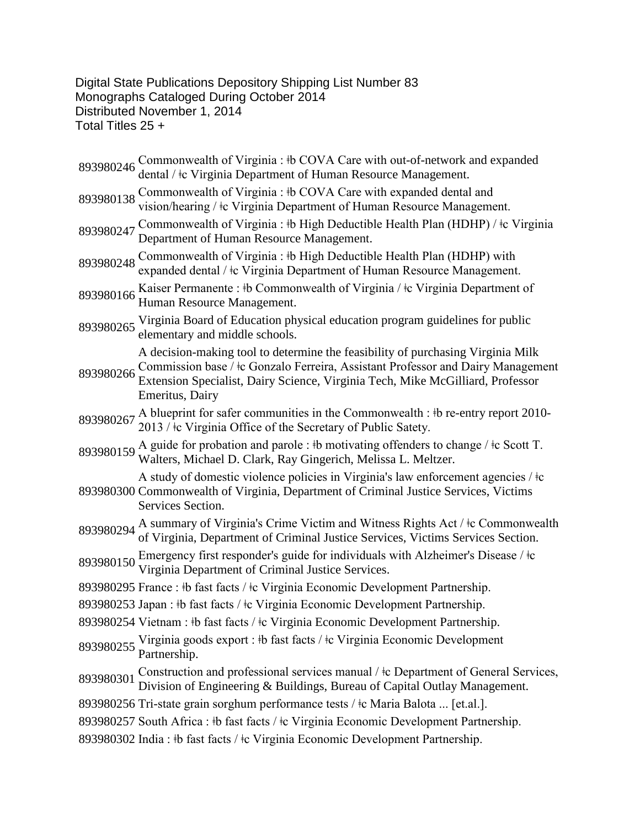Digital State Publications Depository Shipping List Number 83 Monographs Cataloged During October 2014 Distributed November 1, 2014 Total Titles 25 +

893980246 Commonwealth of Virginia : ‡b COVA Care with out-of-network and expanded dental / ‡c Virginia Department of Human Resource Management. 893980138 Commonwealth of Virginia : ‡b COVA Care with expanded dental and vision/hearing /  $\pm c$  Virginia Department of Human Resource Management. 893980247 Commonwealth of Virginia : ‡b High Deductible Health Plan (HDHP) / ‡c Virginia Department of Human Resource Management. 893980248 Commonwealth of Virginia : ‡b High Deductible Health Plan (HDHP) with expanded dental /  $\pm c$  Virginia Department of Human Resource Management. 893980166 Kaiser Permanente : ‡b Commonwealth of Virginia / ‡c Virginia Department of Human Resource Management. <sup>893980265</sup> Virginia Board of Education physical education program guidelines for public elementary and middle schools. 893980266 Commission base /  $\pm$ c Gonzalo Ferreira, Assistant Professor and Dairy Management<br>893980266 Extension Specialist, Deiry Seignes, Virginia Tech, Milca McCilliard, Professor A decision-making tool to determine the feasibility of purchasing Virginia Milk Extension Specialist, Dairy Science, Virginia Tech, Mike McGilliard, Professor Emeritus, Dairy 893980267 A blueprint for safer communities in the Commonwealth : ‡b re-entry report 2010-<br>2013 / ‡c Virginia Office of the Secretary of Public Satety. 893980159 A guide for probation and parole : ‡b motivating offenders to change / ‡c Scott T. Walters, Michael D. Clark, Ray Gingerich, Melissa L. Meltzer. 893980300 Commonwealth of Virginia, Department of Criminal Justice Services, Victims A study of domestic violence policies in Virginia's law enforcement agencies / ǂc Services Section. 893980294 A summary of Virginia's Crime Victim and Witness Rights Act / ‡c Commonwealth of Virginia, Department of Criminal Justice Services, Victims Services Section. 893980150 Emergency first responder's guide for individuals with Alzheimer's Disease /  $\pm c$ <br>Virginia Department of Criminal Justice Services. 893980295 France : ‡b fast facts / ‡c Virginia Economic Development Partnership. 893980253 Japan : ‡b fast facts / ‡c Virginia Economic Development Partnership. 893980254 Vietnam :  $\frac{1}{2}$ b fast facts /  $\frac{1}{2}$ c Virginia Economic Development Partnership. 893980255 Virginia goods export : ‡b fast facts / ‡c Virginia Economic Development<br>Partnership. 893980301 Construction and professional services manual /  $\pm$ c Department of General Services, Division of Engineering & Buildings, Bureau of Capital Outlay Management. 893980256 Tri-state grain sorghum performance tests / ǂc Maria Balota ... [et.al.]. 893980257 South Africa :  $\frac{1}{2}$  fast facts /  $\frac{1}{2}$ c Virginia Economic Development Partnership. 893980302 India : ‡b fast facts / ‡c Virginia Economic Development Partnership.